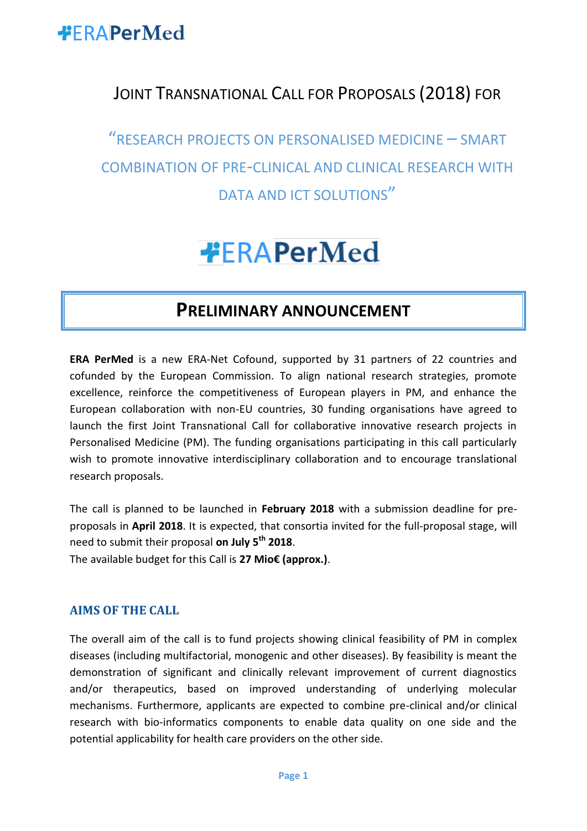

### JOINT TRANSNATIONAL CALL FOR PROPOSALS (2018) FOR

"RESEARCH PROJECTS ON PERSONALISED MEDICINE – SMART COMBINATION OF PRE-CLINICAL AND CLINICAL RESEARCH WITH DATA AND ICT SOLUTIONS"

# **#FRAPerMed**

#### **PRELIMINARY ANNOUNCEMENT**

**ERA PerMed** is a new ERA-Net Cofound, supported by 31 partners of 22 countries and cofunded by the European Commission. To align national research strategies, promote excellence, reinforce the competitiveness of European players in PM, and enhance the European collaboration with non-EU countries, 30 funding organisations have agreed to launch the first Joint Transnational Call for collaborative innovative research projects in Personalised Medicine (PM). The funding organisations participating in this call particularly wish to promote innovative interdisciplinary collaboration and to encourage translational research proposals.

The call is planned to be launched in **February 2018** with a submission deadline for preproposals in **April 2018**. It is expected, that consortia invited for the full-proposal stage, will need to submit their proposal **on July 5th 2018**. The available budget for this Call is **27 Mio€ (approx.)**.

**AIMS OF THE CALL**

The overall aim of the call is to fund projects showing clinical feasibility of PM in complex diseases (including multifactorial, monogenic and other diseases). By feasibility is meant the demonstration of significant and clinically relevant improvement of current diagnostics and/or therapeutics, based on improved understanding of underlying molecular mechanisms. Furthermore, applicants are expected to combine pre-clinical and/or clinical research with bio-informatics components to enable data quality on one side and the potential applicability for health care providers on the other side.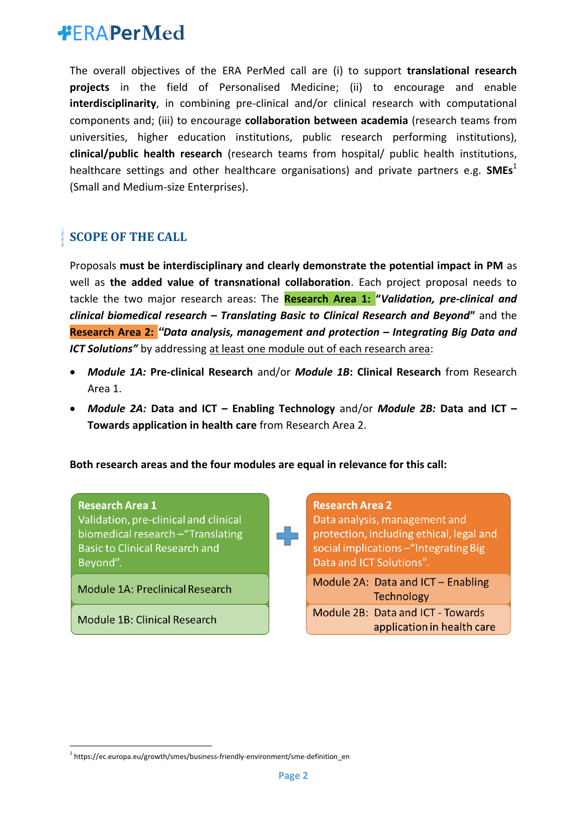### **#FRAPerMed**

The overall objectives of the ERA PerMed call are (i) to support **translational research projects** in the field of Personalised Medicine; (ii) to encourage and enable **interdisciplinarity**, in combining pre-clinical and/or clinical research with computational components and; (iii) to encourage **collaboration between academia** (research teams from universities, higher education institutions, public research performing institutions), **clinical/public health research** (research teams from hospital/ public health institutions, healthcare settings and other healthcare organisations) and private partners e.g. **SMEs**<sup>1</sup> (Small and Medium-size Enterprises).

#### **SCOPE OF THE CALL**

Proposals **must be interdisciplinary and clearly demonstrate the potential impact in PM** as well as **the added value of transnational collaboration**. Each project proposal needs to tackle the two major research areas: The **Research Area 1: "***Validation, pre-clinical and clinical biomedical research – Translating Basic to Clinical Research and Beyond***"** and the **Research Area 2:** *"Data analysis, management and protection – Integrating Big Data and ICT Solutions"* by addressing at least one module out of each research area:

- *Module 1A:* **Pre-clinical Research** and/or *Module 1B***: Clinical Research** from Research Area 1.
- *Module 2A:* **Data and ICT – Enabling Technology** and/or *Module 2B:* **Data and ICT – Towards application in health care** from Research Area 2.

**Both research areas and the four modules are equal in relevance for this call:**



1

Validation, pre-clinical and clinical biomedical research - "Translating **Basic to Clinical Research and** Bevond".

Module 1A: Preclinical Research

Module 1B: Clinical Research

**Research Area 2** Data analysis, management and protection, including ethical, legal and social implications - "Integrating Big Data and ICT Solutions". Module 2A: Data and ICT - Enabling Technology Module 2B: Data and ICT - Towards application in health care

<sup>&</sup>lt;sup>1</sup> https://ec.europa.eu/growth/smes/business-friendly-environment/sme-definition\_en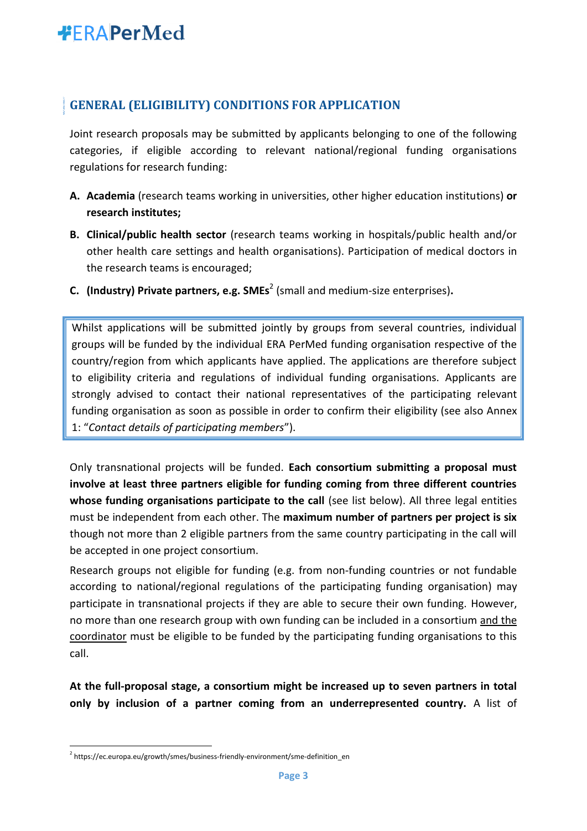## **#FRAPerMed**

#### **GENERAL (ELIGIBILITY) CONDITIONS FOR APPLICATION**

Joint research proposals may be submitted by applicants belonging to one of the following categories, if eligible according to relevant national/regional funding organisations regulations for research funding:

- **A. Academia** (research teams working in universities, other higher education institutions) **or research institutes;**
- **B. Clinical/public health sector** (research teams working in hospitals/public health and/or other health care settings and health organisations). Participation of medical doctors in the research teams is encouraged;
- **C. (Industry) Private partners, e.g. SMEs**<sup>2</sup> (small and medium-size enterprises)**.**

Whilst applications will be submitted jointly by groups from several countries, individual groups will be funded by the individual ERA PerMed funding organisation respective of the country/region from which applicants have applied. The applications are therefore subject to eligibility criteria and regulations of individual funding organisations. Applicants are strongly advised to contact their national representatives of the participating relevant funding organisation as soon as possible in order to confirm their eligibility (see also Annex 1: "*Contact details of participating members*").

Only transnational projects will be funded. **Each consortium submitting a proposal must involve at least three partners eligible for funding coming from three different countries whose funding organisations participate to the call** (see list below). All three legal entities must be independent from each other. The **maximum number of partners per project is six** though not more than 2 eligible partners from the same country participating in the call will be accepted in one project consortium.

Research groups not eligible for funding (e.g. from non-funding countries or not fundable according to national/regional regulations of the participating funding organisation) may participate in transnational projects if they are able to secure their own funding. However, no more than one research group with own funding can be included in a consortium and the coordinator must be eligible to be funded by the participating funding organisations to this call.

**At the full-proposal stage, a consortium might be increased up to seven partners in total only by inclusion of a partner coming from an underrepresented country.** A list of

1

<sup>&</sup>lt;sup>2</sup> https://ec.europa.eu/growth/smes/business-friendly-environment/sme-definition\_en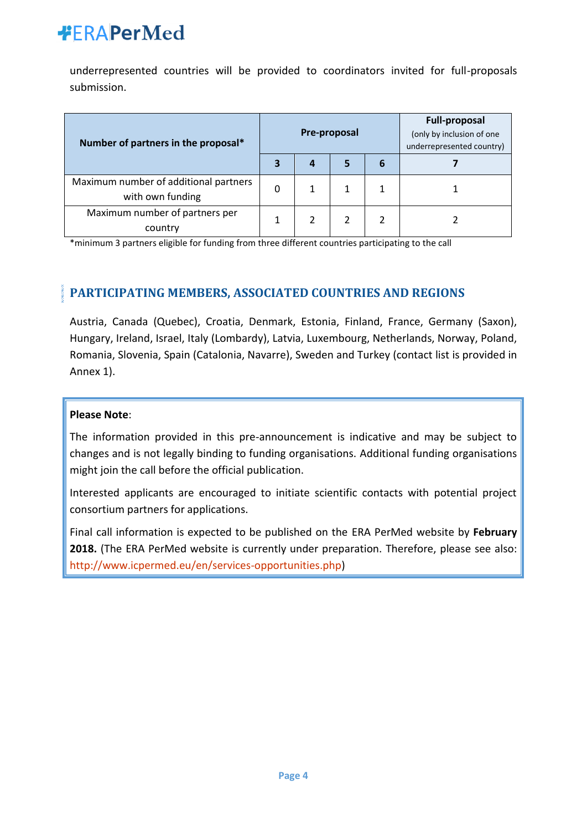## **#FRAPerMed**

underrepresented countries will be provided to coordinators invited for full-proposals submission.

| Number of partners in the proposal*                       |   | Pre-proposal |  | <b>Full-proposal</b><br>(only by inclusion of one<br>underrepresented country) |  |
|-----------------------------------------------------------|---|--------------|--|--------------------------------------------------------------------------------|--|
|                                                           |   | 4            |  | 6                                                                              |  |
| Maximum number of additional partners<br>with own funding | 0 |              |  |                                                                                |  |
| Maximum number of partners per<br>country                 |   |              |  |                                                                                |  |

\*minimum 3 partners eligible for funding from three different countries participating to the call

#### **PARTICIPATING MEMBERS, ASSOCIATED COUNTRIES AND REGIONS**

Austria, Canada (Quebec), Croatia, Denmark, Estonia, Finland, France, Germany (Saxon), Hungary, Ireland, Israel, Italy (Lombardy), Latvia, Luxembourg, Netherlands, Norway, Poland, Romania, Slovenia, Spain (Catalonia, Navarre), Sweden and Turkey (contact list is provided in Annex 1).

#### **Please Note**:

The information provided in this pre-announcement is indicative and may be subject to changes and is not legally binding to funding organisations. Additional funding organisations might join the call before the official publication.

Interested applicants are encouraged to initiate scientific contacts with potential project consortium partners for applications.

Final call information is expected to be published on the ERA PerMed website by **February 2018.** (The ERA PerMed website is currently under preparation. Therefore, please see also: [http://www.icpermed.eu/en/services-opportunities.php\)](http://www.icpermed.eu/en/services-opportunities.php)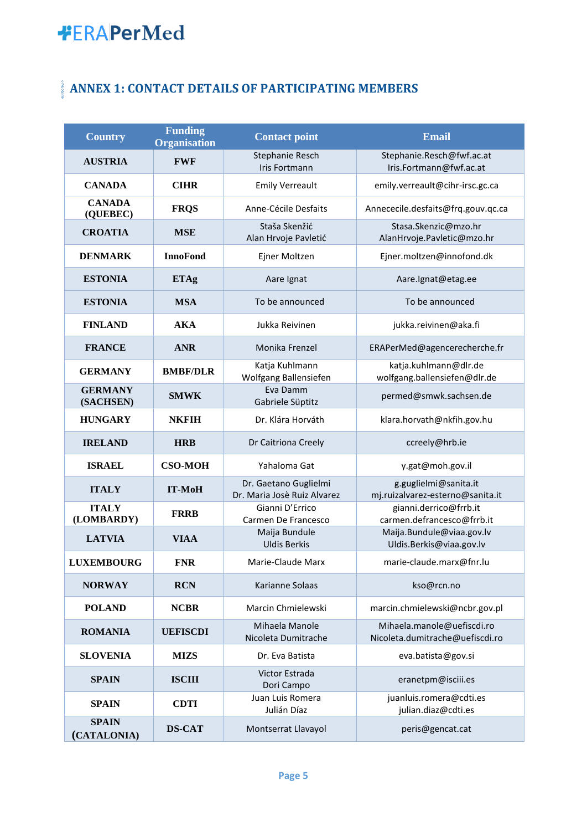# **\*ERAPerMed**

### **ANNEX 1: CONTACT DETAILS OF PARTICIPATING MEMBERS**

| <b>Country</b>              | <b>Funding</b><br><b>Organisation</b> | <b>Contact point</b>                                 | <b>Email</b>                                                  |  |
|-----------------------------|---------------------------------------|------------------------------------------------------|---------------------------------------------------------------|--|
| <b>AUSTRIA</b>              | <b>FWF</b>                            | Stephanie Resch<br>Iris Fortmann                     | Stephanie.Resch@fwf.ac.at<br>Iris.Fortmann@fwf.ac.at          |  |
| <b>CANADA</b>               | <b>CIHR</b>                           | <b>Emily Verreault</b>                               | emily.verreault@cihr-irsc.gc.ca                               |  |
| <b>CANADA</b><br>(QUEBEC)   | <b>FRQS</b>                           | Anne-Cécile Desfaits                                 | Annececile.desfaits@frq.gouv.qc.ca                            |  |
| <b>CROATIA</b>              | <b>MSE</b>                            | Staša Skenžić<br>Alan Hrvoje Pavletić                | Stasa.Skenzic@mzo.hr<br>AlanHrvoje.Pavletic@mzo.hr            |  |
| <b>DENMARK</b>              | <b>InnoFond</b>                       | Ejner Moltzen                                        | Ejner.moltzen@innofond.dk                                     |  |
| <b>ESTONIA</b>              | <b>ETAg</b>                           | Aare Ignat                                           | Aare.lgnat@etag.ee                                            |  |
| <b>ESTONIA</b>              | <b>MSA</b>                            | To be announced                                      | To be announced                                               |  |
| <b>FINLAND</b>              | <b>AKA</b>                            | Jukka Reivinen                                       | jukka.reivinen@aka.fi                                         |  |
| <b>FRANCE</b>               | <b>ANR</b>                            | Monika Frenzel                                       | ERAPerMed@agencerecherche.fr                                  |  |
| <b>GERMANY</b>              | <b>BMBF/DLR</b>                       | Katja Kuhlmann<br>Wolfgang Ballensiefen              | katja.kuhlmann@dlr.de<br>wolfgang.ballensiefen@dlr.de         |  |
| <b>GERMANY</b><br>(SACHSEN) | <b>SMWK</b>                           | Eva Damm<br>Gabriele Süptitz                         | permed@smwk.sachsen.de                                        |  |
| <b>HUNGARY</b>              | <b>NKFIH</b>                          | Dr. Klára Horváth                                    | klara.horvath@nkfih.gov.hu                                    |  |
| <b>IRELAND</b>              | <b>HRB</b>                            | Dr Caitriona Creely                                  | ccreely@hrb.ie                                                |  |
| <b>ISRAEL</b>               | <b>CSO-MOH</b>                        | Yahaloma Gat                                         | y.gat@moh.gov.il                                              |  |
| <b>ITALY</b>                | <b>IT-MoH</b>                         | Dr. Gaetano Guglielmi<br>Dr. Maria Josè Ruiz Alvarez | g.guglielmi@sanita.it<br>mj.ruizalvarez-esterno@sanita.it     |  |
| <b>ITALY</b><br>(LOMBARDY)  | <b>FRRB</b>                           | Gianni D'Errico<br>Carmen De Francesco               | gianni.derrico@frrb.it<br>carmen.defrancesco@frrb.it          |  |
| <b>LATVIA</b>               | <b>VIAA</b>                           | Maija Bundule<br><b>Uldis Berkis</b>                 | Maija.Bundule@viaa.gov.lv<br>Uldis.Berkis@viaa.gov.lv         |  |
| <b>LUXEMBOURG</b>           | <b>FNR</b>                            | Marie-Claude Marx                                    | marie-claude.marx@fnr.lu                                      |  |
| <b>NORWAY</b>               | <b>RCN</b>                            | Karianne Solaas                                      | kso@rcn.no                                                    |  |
| <b>POLAND</b>               | <b>NCBR</b>                           | Marcin Chmielewski                                   | marcin.chmielewski@ncbr.gov.pl                                |  |
| <b>ROMANIA</b>              | <b>UEFISCDI</b>                       | Mihaela Manole<br>Nicoleta Dumitrache                | Mihaela.manole@uefiscdi.ro<br>Nicoleta.dumitrache@uefiscdi.ro |  |
| <b>SLOVENIA</b>             | <b>MIZS</b>                           | Dr. Eva Batista                                      | eva.batista@gov.si                                            |  |
| <b>SPAIN</b>                | <b>ISCIII</b>                         | Victor Estrada<br>Dori Campo                         | eranetpm@isciii.es                                            |  |
| <b>SPAIN</b>                | <b>CDTI</b>                           | Juan Luis Romera<br>Julián Díaz                      | juanluis.romera@cdti.es<br>julian.diaz@cdti.es                |  |
| <b>SPAIN</b><br>(CATALONIA) | <b>DS-CAT</b>                         | Montserrat Llavayol                                  | peris@gencat.cat                                              |  |